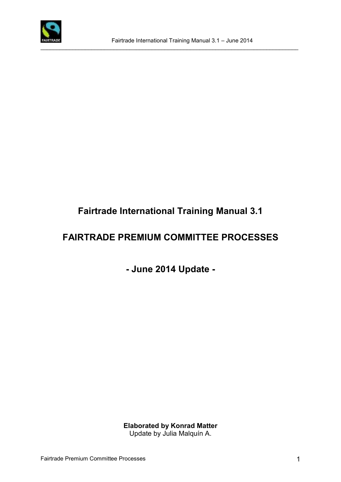

 $\_$  ,  $\_$  ,  $\_$  ,  $\_$  ,  $\_$  ,  $\_$  ,  $\_$  ,  $\_$  ,  $\_$  ,  $\_$  ,  $\_$  ,  $\_$  ,  $\_$  ,  $\_$  ,  $\_$  ,  $\_$  ,  $\_$  ,  $\_$  ,  $\_$  ,  $\_$  ,  $\_$  ,  $\_$  ,  $\_$  ,  $\_$  ,  $\_$  ,  $\_$  ,  $\_$  ,  $\_$  ,  $\_$  ,  $\_$  ,  $\_$  ,  $\_$  ,  $\_$  ,  $\_$  ,  $\_$  ,  $\_$  ,  $\_$  ,

# **Fairtrade International Training Manual 3.1**

# **FAIRTRADE PREMIUM COMMITTEE PROCESSES**

# **- June 2014 Update -**

**Elaborated by Konrad Matter** Update by Julia Malquín A.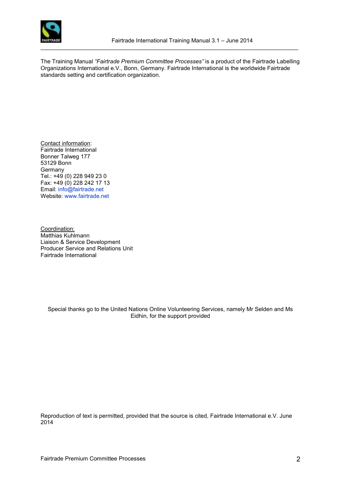

The Training Manual *"Fairtrade Premium Committee Processes"* is a product of the Fairtrade Labelling Organizations International e.V., Bonn, Germany. Fairtrade International is the worldwide Fairtrade standards setting and certification organization.

 $\_$  ,  $\_$  ,  $\_$  ,  $\_$  ,  $\_$  ,  $\_$  ,  $\_$  ,  $\_$  ,  $\_$  ,  $\_$  ,  $\_$  ,  $\_$  ,  $\_$  ,  $\_$  ,  $\_$  ,  $\_$  ,  $\_$  ,  $\_$  ,  $\_$  ,  $\_$  ,  $\_$  ,  $\_$  ,  $\_$  ,  $\_$  ,  $\_$  ,  $\_$  ,  $\_$  ,  $\_$  ,  $\_$  ,  $\_$  ,  $\_$  ,  $\_$  ,  $\_$  ,  $\_$  ,  $\_$  ,  $\_$  ,  $\_$  ,

Contact information: Fairtrade International Bonner Talweg 177 53129 Bonn **Germany** Tel.: +49 (0) 228 949 23 0 Fax: +49 (0) 228 242 17 13 Email: [info@fairtrade.net](mailto:info@fairtrade.net) Website: [www.fairtrade.net](http://www.fairtrade.net/)

Coordination: Matthias Kuhlmann Liaison & Service Development Producer Service and Relations Unit Fairtrade International

Special thanks go to the United Nations Online Volunteering Services, namely Mr Selden and Ms Eidhin, for the support provided

Reproduction of text is permitted, provided that the source is cited, Fairtrade International e.V. June 2014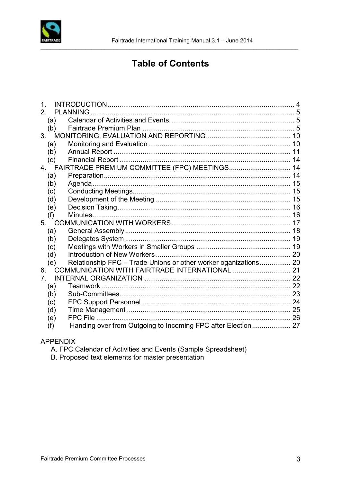

# **Table of Contents**

| 1.            |                                                                 |  |
|---------------|-----------------------------------------------------------------|--|
| $\mathcal{P}$ | <b>PLANNING</b>                                                 |  |
| (a)           |                                                                 |  |
| (b)           |                                                                 |  |
| 3.            |                                                                 |  |
| (a)           |                                                                 |  |
| (b)           |                                                                 |  |
| (c)           |                                                                 |  |
|               | 4. FAIRTRADE PREMIUM COMMITTEE (FPC) MEETINGS 14                |  |
| (a)           |                                                                 |  |
| (b)           |                                                                 |  |
| (c)           |                                                                 |  |
| (d)           |                                                                 |  |
| (e)           |                                                                 |  |
| (f)           |                                                                 |  |
| 5.            |                                                                 |  |
| (a)           |                                                                 |  |
| (b)           |                                                                 |  |
| (c)           |                                                                 |  |
| (d)           |                                                                 |  |
| (e)           | Relationship FPC - Trade Unions or other worker oganizations 20 |  |
| 6.            |                                                                 |  |
| 7             |                                                                 |  |
| (a)           |                                                                 |  |
| (b)           |                                                                 |  |
| (c)           |                                                                 |  |
| (d)           |                                                                 |  |
| (e)           |                                                                 |  |
| (f)           | Handing over from Outgoing to Incoming FPC after Election 27    |  |

#### **APPENDIX**

A. FPC Calendar of Activities and Events (Sample Spreadsheet)

B. Proposed text elements for master presentation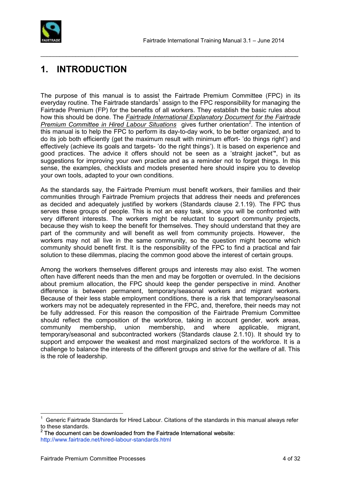

# **1. INTRODUCTION**

The purpose of this manual is to assist the Fairtrade Premium Committee (FPC) in its everyday routine. The Fairtrade standards<sup>1</sup> assign to the FPC responsibility for managing the Fairtrade Premium (FP) for the benefits of all workers. They establish the basic rules about how this should be done. The *Fairtrade International Explanatory Document for the Fairtrade Premium Committee in Hired Labour Situations* gives further orientation*<sup>2</sup>* . The intention of this manual is to help the FPC to perform its day-to-day work, to be better organized, and to do its job both efficiently (get the maximum result with minimum effort- 'do things right') and effectively (achieve its goals and targets- 'do the right things'). It is based on experience and good practices. The advice it offers should not be seen as a 'straight jacket'", but as suggestions for improving your own practice and as a reminder not to forget things. In this sense, the examples, checklists and models presented here should inspire you to develop your own tools, adapted to your own conditions.

<span id="page-3-0"></span> $\mathcal{L}_\text{max}$  , and the contribution of the contribution of the contribution of the contribution of the contribution of the contribution of the contribution of the contribution of the contribution of the contribution of t

As the standards say, the Fairtrade Premium must benefit workers, their families and their communities through Fairtrade Premium projects that address their needs and preferences as decided and adequately justified by workers (Standards clause 2.1.19). The FPC thus serves these groups of people. This is not an easy task, since you will be confronted with very different interests. The workers might be reluctant to support community projects, because they wish to keep the benefit for themselves. They should understand that they are part of the community and will benefit as well from community projects. However, the workers may not all live in the same community, so the question might become which community should benefit first. It is the responsibility of the FPC to find a practical and fair solution to these dilemmas, placing the common good above the interest of certain groups.

Among the workers themselves different groups and interests may also exist. The women often have different needs than the men and may be forgotten or overruled. In the decisions about premium allocation, the FPC should keep the gender perspective in mind. Another difference is between permanent, temporary/seasonal workers and migrant workers. Because of their less stable employment conditions, there is a risk that temporary/seasonal workers may not be adequately represented in the FPC, and, therefore, their needs may not be fully addressed. For this reason the composition of the Fairtrade Premium Committee should reflect the composition of the workforce, taking in account gender, work areas, community membership, union membership, and where applicable, migrant, temporary/seasonal and subcontracted workers (Standards clause 2.1.10). It should try to support and empower the weakest and most marginalized sectors of the workforce. It is a challenge to balance the interests of the different groups and strive for the welfare of all. This is the role of leadership.

 $2$  The document can be downloaded from the Fairtrade International website: <http://www.fairtrade.net/hired-labour-standards.html>

 $\overline{a}$ 

<sup>1</sup> Generic Fairtrade Standards for Hired Labour. Citations of the standards in this manual always refer to these standards.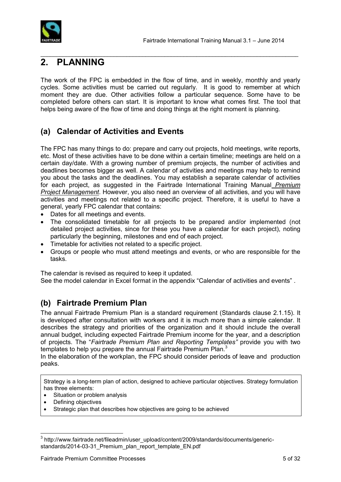

## <span id="page-4-0"></span>**2. PLANNING**

The work of the FPC is embedded in the flow of time, and in weekly, monthly and yearly cycles. Some activities must be carried out regularly. It is good to remember at which moment they are due. Other activities follow a particular sequence. Some have to be completed before others can start. It is important to know what comes first. The tool that helps being aware of the flow of time and doing things at the right moment is planning.

 $\mathcal{L}_\text{max}$  , and the contribution of the contribution of the contribution of the contribution of the contribution of the contribution of the contribution of the contribution of the contribution of the contribution of t

## <span id="page-4-1"></span>**(a) Calendar of Activities and Events**

The FPC has many things to do: prepare and carry out projects, hold meetings, write reports, etc. Most of these activities have to be done within a certain timeline; meetings are held on a certain day/date. With a growing number of premium projects, the number of activities and deadlines becomes bigger as well. A calendar of activities and meetings may help to remind you about the tasks and the deadlines. You may establish a separate calendar of activities for each project, as suggested in the Fairtrade International Training Manual *Premium Project Management*. However, you also need an overview of all activities, and you will have activities and meetings not related to a specific project. Therefore, it is useful to have a general, yearly FPC calendar that contains:

- Dates for all meetings and events.
- The consolidated timetable for all projects to be prepared and/or implemented (not detailed project activities, since for these you have a calendar for each project), noting particularly the beginning, milestones and end of each project.
- Timetable for activities not related to a specific project.
- Groups or people who must attend meetings and events, or who are responsible for the tasks.

The calendar is revised as required to keep it updated.

See the model calendar in Excel format in the appendix "Calendar of activities and events" .

### <span id="page-4-2"></span>**(b) Fairtrade Premium Plan**

The annual Fairtrade Premium Plan is a standard requirement (Standards clause 2.1.15). It is developed after consultation with workers and it is much more than a simple calendar. It describes the strategy and priorities of the organization and it should include the overall annual budget, including expected Fairtrade Premium income for the year, and a description of projects. The "*Fairtrade Premium Plan and Reporting Templates"* provide you with two templates to help you prepare the annual Fairtrade Premium Plan. $3$ 

In the elaboration of the workplan, the FPC should consider periods of leave and production peaks.

Strategy is a long-term plan of action, designed to achieve particular objectives. Strategy formulation has three elements:

- Situation or problem analysis
- Defining objectives

 $\overline{a}$ 

Strategic plan that describes how objectives are going to be achieved

<sup>&</sup>lt;sup>3</sup> http://www.fairtrade.net/fileadmin/user\_upload/content/2009/standards/documents/genericstandards/2014-03-31\_Premium\_plan\_report\_template\_EN.pdf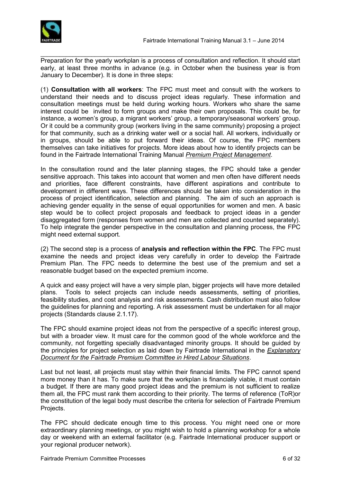

 $\mathcal{L}_\text{max}$  , and the contribution of the contribution of the contribution of the contribution of the contribution of the contribution of the contribution of the contribution of the contribution of the contribution of t Preparation for the yearly workplan is a process of consultation and reflection. It should start early, at least three months in advance (e.g. in October when the business year is from January to December). It is done in three steps:

(1) **Consultation with all workers**: The FPC must meet and consult with the workers to understand their needs and to discuss project ideas regularly. These information and consultation meetings must be held during working hours. Workers who share the same interest could be invited to form groups and make their own proposals. This could be, for instance, a women's group, a migrant workers' group, a temporary/seasonal workers' group. Or it could be a community group (workers living in the same community) proposing a project for that community, such as a drinking water well or a social hall. All workers, individually or in groups, should be able to put forward their ideas. Of course, the FPC members themselves can take initiatives for projects. More ideas about how to identify projects can be found in the Fairtrade International Training Manual *Premium Project Management*.

In the consultation round and the later planning stages, the FPC should take a gender sensitive approach. This takes into account that women and men often have different needs and priorities, face different constraints, have different aspirations and contribute to development in different ways. These differences should be taken into consideration in the process of project identification, selection and planning. The aim of such an approach is achieving gender equality in the sense of equal opportunities for women and men. A basic step would be to collect project proposals and feedback to project ideas in a gender disaggregated form (responses from women and men are collected and counted separately). To help integrate the gender perspective in the consultation and planning process, the FPC might need external support.

(2) The second step is a process of **analysis and reflection within the FPC**. The FPC must examine the needs and project ideas very carefully in order to develop the Fairtrade Premium Plan. The FPC needs to determine the best use of the premium and set a reasonable budget based on the expected premium income.

A quick and easy project will have a very simple plan, bigger projects will have more detailed plans. Tools to select projects can include needs assessments, setting of priorities, feasibility studies, and cost analysis and risk assessments. Cash distribution must also follow the guidelines for planning and reporting. A risk assessment must be undertaken for all major projects (Standards clause 2.1.17).

The FPC should examine project ideas not from the perspective of a specific interest group, but with a broader view. It must care for the common good of the whole workforce and the community, not forgetting specially disadvantaged minority groups. It should be guided by the principles for project selection as laid down by Fairtrade International in the *Explanatory Document for the Fairtrade Premium Committee in Hired Labour Situations*.

Last but not least, all projects must stay within their financial limits. The FPC cannot spend more money than it has. To make sure that the workplan is financially viable, it must contain a budget. If there are many good project ideas and the premium is not sufficient to realize them all, the FPC must rank them according to their priority. The terms of reference (ToR)or the constitution of the legal body must describe the criteria for selection of Fairtrade Premium Projects.

The FPC should dedicate enough time to this process. You might need one or more extraordinary planning meetings, or you might wish to hold a planning workshop for a whole day or weekend with an external facilitator (e.g. Fairtrade International producer support or your regional producer network).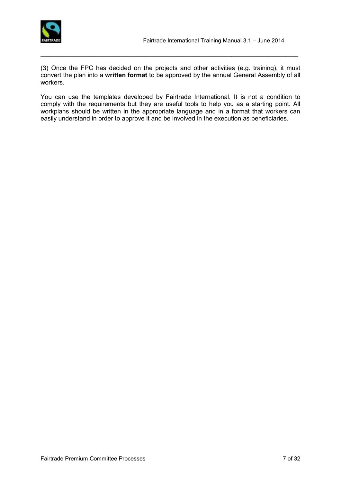

(3) Once the FPC has decided on the projects and other activities (e.g. training), it must convert the plan into a **written format** to be approved by the annual General Assembly of all workers.

 $\mathcal{L}_\text{max}$  , and the contribution of the contribution of the contribution of the contribution of the contribution of the contribution of the contribution of the contribution of the contribution of the contribution of t

You can use the templates developed by Fairtrade International. It is not a condition to comply with the requirements but they are useful tools to help you as a starting point. All workplans should be written in the appropriate language and in a format that workers can easily understand in order to approve it and be involved in the execution as beneficiaries.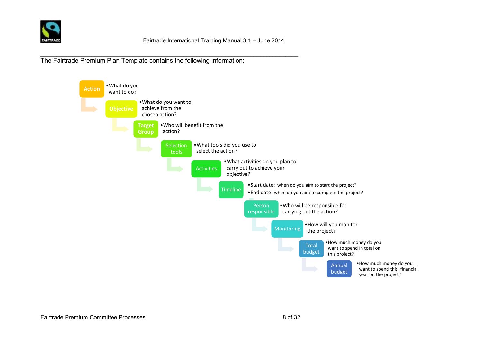

\_\_\_\_\_\_\_\_\_\_\_\_\_\_\_\_\_\_\_\_\_\_\_\_\_\_\_\_\_\_\_\_\_\_\_\_\_\_\_\_\_\_\_\_\_\_\_\_\_\_\_\_\_\_\_\_\_\_\_\_\_\_\_\_\_\_\_\_\_\_\_\_\_\_\_\_\_\_\_\_\_ The Fairtrade Premium Plan Template contains the following information:

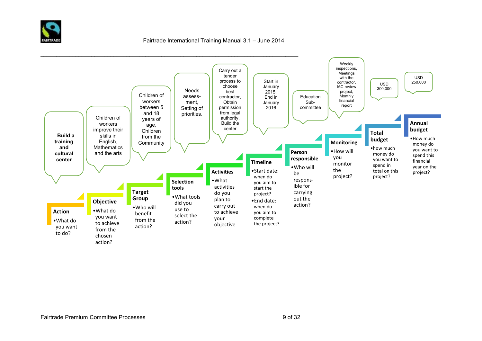

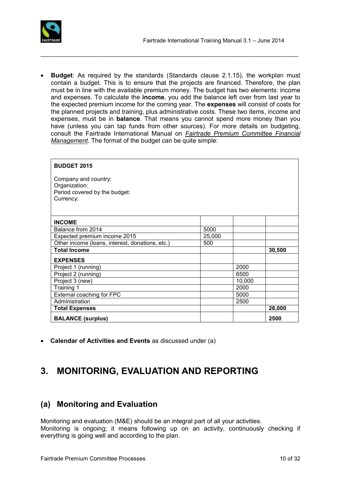

 **Budget**: As required by the standards (Standards clause 2.1.15), the workplan must contain a budget. This is to ensure that the projects are financed. Therefore, the plan must be in line with the available premium money. The budget has two elements: income and expenses. To calculate the **income**, you add the balance left over from last year to the expected premium income for the coming year. The **expenses** will consist of costs for the planned projects and training, plus administrative costs. These two items, income and expenses, must be in **balance**. That means you cannot spend more money than you have (unless you can tap funds from other sources). For more details on budgeting, consult the Fairtrade International Manual on *Fairtrade Premium Committee Financial Management*. The format of the budget can be quite simple:

 $\mathcal{L}_\text{max}$  , and the contribution of the contribution of the contribution of the contribution of the contribution of the contribution of the contribution of the contribution of the contribution of the contribution of t

| <b>BUDGET 2015</b>                              |        |        |        |  |  |
|-------------------------------------------------|--------|--------|--------|--|--|
| Company and country:                            |        |        |        |  |  |
| Organization:<br>Period covered by the budget:  |        |        |        |  |  |
| Currency:                                       |        |        |        |  |  |
|                                                 |        |        |        |  |  |
|                                                 |        |        |        |  |  |
| <b>INCOME</b>                                   |        |        |        |  |  |
| Balance from 2014                               | 5000   |        |        |  |  |
| Expected premium income 2015                    | 25,000 |        |        |  |  |
| Other income (loans, interest, donations, etc.) | 500    |        |        |  |  |
| <b>Total Income</b>                             |        |        | 30,500 |  |  |
| <b>EXPENSES</b>                                 |        |        |        |  |  |
| Project 1 (running)                             |        | 2000   |        |  |  |
| Project 2 (running)                             |        | 6500   |        |  |  |
| Project 3 (new)                                 |        | 10,000 |        |  |  |
| Training 1                                      |        | 2000   |        |  |  |
| External coaching for FPC                       |        | 5000   |        |  |  |
| Administration                                  |        | 2500   |        |  |  |
| <b>Total Expenses</b>                           |        |        | 28,000 |  |  |
| <b>BALANCE (surplus)</b>                        |        |        | 2500   |  |  |

**Calendar of Activities and Events** as discussed under (a)

## <span id="page-9-0"></span>**3. MONITORING, EVALUATION AND REPORTING**

### <span id="page-9-1"></span>**(a) Monitoring and Evaluation**

Monitoring and evaluation (M&E) should be an integral part of all your activities. Monitoring is ongoing; it means following up on an activity, continuously checking if everything is going well and according to the plan.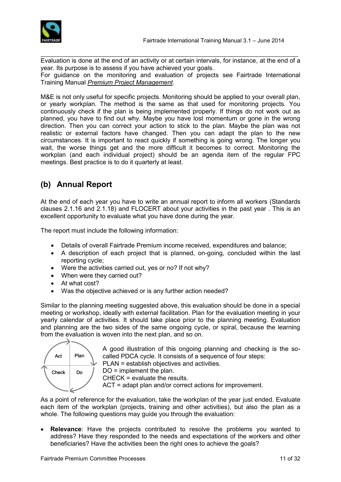

 $\mathcal{L}_\text{max}$  , and the contribution of the contribution of the contribution of the contribution of the contribution of the contribution of the contribution of the contribution of the contribution of the contribution of t Evaluation is done at the end of an activity or at certain intervals, for instance, at the end of a year. Its purpose is to assess if you have achieved your goals. For guidance on the monitoring and evaluation of projects see Fairtrade International Training Manual *Premium Project Management*.

M&E is not only useful for specific projects. Monitoring should be applied to your overall plan, or yearly workplan. The method is the same as that used for monitoring projects. You continuously check if the plan is being implemented properly. If things do not work out as planned, you have to find out why. Maybe you have lost momentum or gone in the wrong direction. Then you can correct your action to stick to the plan. Maybe the plan was not realistic or external factors have changed. Then you can adapt the plan to the new circumstances. It is important to react quickly if something is going wrong. The longer you wait, the worse things get and the more difficult it becomes to correct. Monitoring the workplan (and each individual project) should be an agenda item of the regular FPC meetings. Best practice is to do it quarterly at least.

## <span id="page-10-0"></span>**(b) Annual Report**

At the end of each year you have to write an annual report to inform all workers (Standards clauses 2.1.16 and 2.1.18) and FLOCERT about your activities in the past year . This is an excellent opportunity to evaluate what you have done during the year.

The report must include the following information:

- Details of overall Fairtrade Premium income received, expenditures and balance;
- A description of each project that is planned, on-going, concluded within the last reporting cycle;
- Were the activities carried out, yes or no? If not why?
- When were they carried out?
- At what cost?
- Was the objective achieved or is any further action needed?

Similar to the planning meeting suggested above, this evaluation should be done in a special meeting or workshop, ideally with external facilitation. Plan for the evaluation meeting in your yearly calendar of activities. It should take place prior to the planning meeting. Evaluation and planning are the two sides of the same ongoing cycle, or spiral, because the learning from the evaluation is woven into the next plan, and so on.



A good illustration of this ongoing planning and checking is the socalled PDCA cycle. It consists of a sequence of four steps:

PLAN = establish objectives and activities.

DO = implement the plan. CHECK = evaluate the results.

ACT = adapt plan and/or correct actions for improvement.

As a point of reference for the evaluation, take the workplan of the year just ended. Evaluate each item of the workplan (projects, training and other activities), but also the plan as a whole. The following questions may guide you through the evaluation:

 **Relevance**: Have the projects contributed to resolve the problems you wanted to address? Have they responded to the needs and expectations of the workers and other beneficiaries? Have the activities been the right ones to achieve the goals?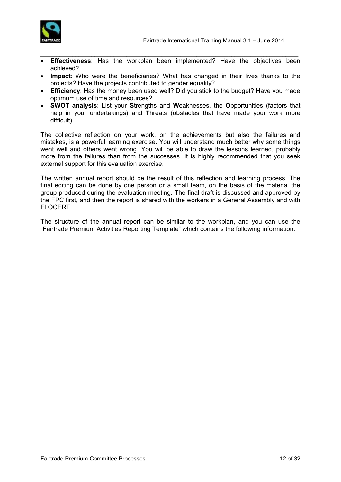

- $\mathcal{L}_\text{max}$  , and the contribution of the contribution of the contribution of the contribution of the contribution of the contribution of the contribution of the contribution of the contribution of the contribution of t **Effectiveness**: Has the workplan been implemented? Have the objectives been achieved?
- **Impact**: Who were the beneficiaries? What has changed in their lives thanks to the projects? Have the projects contributed to gender equality?
- **Efficiency**: Has the money been used well? Did you stick to the budget? Have you made optimum use of time and resources?
- **SWOT analysis**: List your **S**trengths and **W**eaknesses, the **O**pportunities (factors that help in your undertakings) and **T**hreats (obstacles that have made your work more difficult).

The collective reflection on your work, on the achievements but also the failures and mistakes, is a powerful learning exercise. You will understand much better why some things went well and others went wrong. You will be able to draw the lessons learned, probably more from the failures than from the successes. It is highly recommended that you seek external support for this evaluation exercise.

The written annual report should be the result of this reflection and learning process. The final editing can be done by one person or a small team, on the basis of the material the group produced during the evaluation meeting. The final draft is discussed and approved by the FPC first, and then the report is shared with the workers in a General Assembly and with FLOCERT.

The structure of the annual report can be similar to the workplan, and you can use the "Fairtrade Premium Activities Reporting Template" which contains the following information: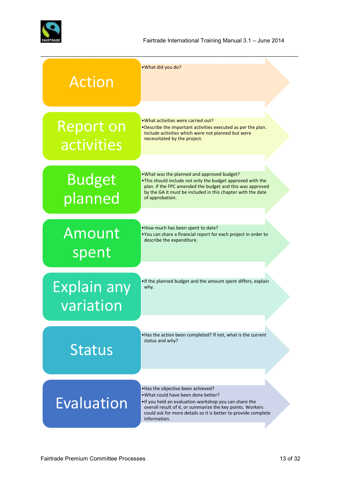

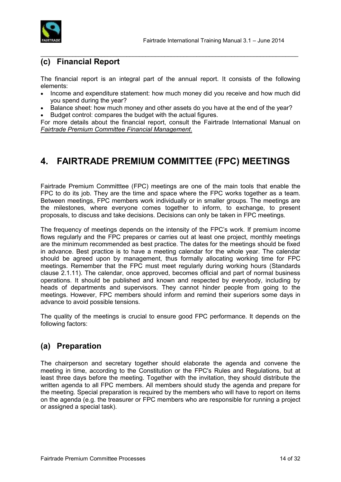

#### <span id="page-13-0"></span>**(c) Financial Report**

The financial report is an integral part of the annual report. It consists of the following elements:

 $\mathcal{L}_\text{max}$  , and the contribution of the contribution of the contribution of the contribution of the contribution of the contribution of the contribution of the contribution of the contribution of the contribution of t

- Income and expenditure statement: how much money did you receive and how much did you spend during the year?
- Balance sheet: how much money and other assets do you have at the end of the year?
- Budget control: compares the budget with the actual figures.

For more details about the financial report, consult the Fairtrade International Manual on *Fairtrade Premium Committee Financial Management*.

## <span id="page-13-1"></span>**4. FAIRTRADE PREMIUM COMMITTEE (FPC) MEETINGS**

Fairtrade Premium Committtee (FPC) meetings are one of the main tools that enable the FPC to do its job. They are the time and space where the FPC works together as a team. Between meetings, FPC members work individually or in smaller groups. The meetings are the milestones, where everyone comes together to inform, to exchange, to present proposals, to discuss and take decisions. Decisions can only be taken in FPC meetings.

The frequency of meetings depends on the intensity of the FPC's work. If premium income flows regularly and the FPC prepares or carries out at least one project, monthly meetings are the minimum recommended as best practice. The dates for the meetings should be fixed in advance. Best practice is to have a meeting calendar for the whole year. The calendar should be agreed upon by management, thus formally allocating working time for FPC meetings. Remember that the FPC must meet regularly during working hours (Standards clause 2.1.11). The calendar, once approved, becomes official and part of normal business operations. It should be published and known and respected by everybody, including by heads of departments and supervisors. They cannot hinder people from going to the meetings. However, FPC members should inform and remind their superiors some days in advance to avoid possible tensions.

The quality of the meetings is crucial to ensure good FPC performance. It depends on the following factors:

### <span id="page-13-2"></span>**(a) Preparation**

The chairperson and secretary together should elaborate the agenda and convene the meeting in time, according to the Constitution or the FPC's Rules and Regulations, but at least three days before the meeting. Together with the invitation, they should distribute the written agenda to all FPC members. All members should study the agenda and prepare for the meeting. Special preparation is required by the members who will have to report on items on the agenda (e.g. the treasurer or FPC members who are responsible for running a project or assigned a special task).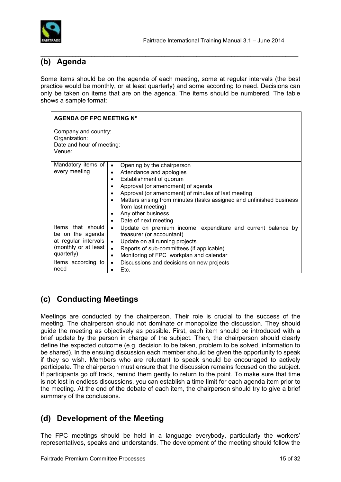

### <span id="page-14-0"></span>**(b) Agenda**

Some items should be on the agenda of each meeting, some at regular intervals (the best practice would be monthly, or at least quarterly) and some according to need. Decisions can only be taken on items that are on the agenda. The items should be numbered. The table shows a sample format:

 $\mathcal{L}_\text{max}$  , and the contribution of the contribution of the contribution of the contribution of the contribution of the contribution of the contribution of the contribution of the contribution of the contribution of t

| <b>AGENDA OF FPC MEETING N°</b>                                                                         |                                                                           |  |  |  |  |
|---------------------------------------------------------------------------------------------------------|---------------------------------------------------------------------------|--|--|--|--|
| Company and country:<br>Organization:<br>Date and hour of meeting:<br>Venue:                            |                                                                           |  |  |  |  |
| Mandatory items of                                                                                      | Opening by the chairperson<br>$\bullet$                                   |  |  |  |  |
| every meeting                                                                                           | Attendance and apologies<br>$\bullet$                                     |  |  |  |  |
|                                                                                                         | Establishment of quorum<br>$\bullet$                                      |  |  |  |  |
|                                                                                                         | Approval (or amendment) of agenda<br>٠                                    |  |  |  |  |
|                                                                                                         | Approval (or amendment) of minutes of last meeting<br>$\bullet$           |  |  |  |  |
| Matters arising from minutes (tasks assigned and unfinished business<br>$\bullet$<br>from last meeting) |                                                                           |  |  |  |  |
|                                                                                                         | Any other business<br>$\bullet$                                           |  |  |  |  |
|                                                                                                         | Date of next meeting<br>$\bullet$                                         |  |  |  |  |
| Items that should                                                                                       | Update on premium income, expenditure and current balance by<br>$\bullet$ |  |  |  |  |
| be on the agenda                                                                                        | treasurer (or accountant)                                                 |  |  |  |  |
| at regular intervals                                                                                    | Update on all running projects<br>$\bullet$                               |  |  |  |  |
| (monthly or at least                                                                                    | Reports of sub-committees (if applicable)<br>$\bullet$                    |  |  |  |  |
| quarterly)                                                                                              | Monitoring of FPC workplan and calendar<br>$\bullet$                      |  |  |  |  |
| Items according to                                                                                      | Discussions and decisions on new projects<br>$\bullet$                    |  |  |  |  |
| need                                                                                                    | Etc.                                                                      |  |  |  |  |

## <span id="page-14-1"></span>**(c) Conducting Meetings**

Meetings are conducted by the chairperson. Their role is crucial to the success of the meeting. The chairperson should not dominate or monopolize the discussion. They should guide the meeting as objectively as possible. First, each item should be introduced with a brief update by the person in charge of the subject. Then, the chairperson should clearly define the expected outcome (e.g. decision to be taken, problem to be solved, information to be shared). In the ensuing discussion each member should be given the opportunity to speak if they so wish. Members who are reluctant to speak should be encouraged to actively participate. The chairperson must ensure that the discussion remains focused on the subject. If participants go off track, remind them gently to return to the point. To make sure that time is not lost in endless discussions, you can establish a time limit for each agenda item prior to the meeting. At the end of the debate of each item, the chairperson should try to give a brief summary of the conclusions.

### <span id="page-14-2"></span>**(d) Development of the Meeting**

The FPC meetings should be held in a language everybody, particularly the workers' representatives, speaks and understands. The development of the meeting should follow the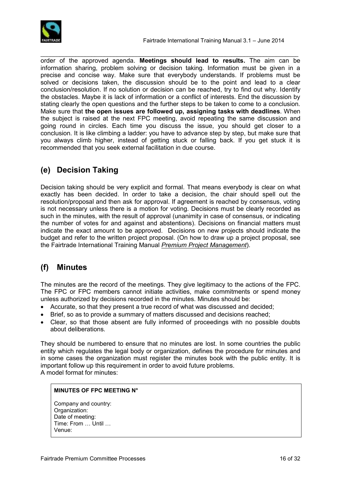

order of the approved agenda. **Meetings should lead to results.** The aim can be information sharing, problem solving or decision taking. Information must be given in a precise and concise way. Make sure that everybody understands. If problems must be solved or decisions taken, the discussion should be to the point and lead to a clear conclusion/resolution. If no solution or decision can be reached, try to find out why. Identify the obstacles. Maybe it is lack of information or a conflict of interests. End the discussion by stating clearly the open questions and the further steps to be taken to come to a conclusion. Make sure that **the open issues are followed up, assigning tasks with deadlines**. When the subject is raised at the next FPC meeting, avoid repeating the same discussion and going round in circles. Each time you discuss the issue, you should get closer to a conclusion. It is like climbing a ladder: you have to advance step by step, but make sure that you always climb higher, instead of getting stuck or falling back. If you get stuck it is recommended that you seek external facilitation in due course.

 $\mathcal{L}_\text{max}$  , and the contribution of the contribution of the contribution of the contribution of the contribution of the contribution of the contribution of the contribution of the contribution of the contribution of t

## <span id="page-15-0"></span>**(e) Decision Taking**

Decision taking should be very explicit and formal. That means everybody is clear on what exactly has been decided. In order to take a decision, the chair should spell out the resolution/proposal and then ask for approval. If agreement is reached by consensus, voting is not necessary unless there is a motion for voting. Decisions must be clearly recorded as such in the minutes, with the result of approval (unanimity in case of consensus, or indicating the number of votes for and against and abstentions). Decisions on financial matters must indicate the exact amount to be approved. Decisions on new projects should indicate the budget and refer to the written project proposal. (On how to draw up a project proposal, see the Fairtrade International Training Manual *Premium Project Management*).

### <span id="page-15-1"></span>**(f) Minutes**

The minutes are the record of the meetings. They give legitimacy to the actions of the FPC. The FPC or FPC members cannot initiate activities, make commitments or spend money unless authorized by decisions recorded in the minutes. Minutes should be:

- Accurate, so that they present a true record of what was discussed and decided;
- Brief, so as to provide a summary of matters discussed and decisions reached;
- Clear, so that those absent are fully informed of proceedings with no possible doubts about deliberations.

They should be numbered to ensure that no minutes are lost. In some countries the public entity which regulates the legal body or organization, defines the procedure for minutes and in some cases the organization must register the minutes book with the public entity. It is important follow up this requirement in order to avoid future problems. A model format for minutes:

#### **MINUTES OF FPC MEETING N°**

Company and country: Organization: Date of meeting: Time: From … Until … Venue: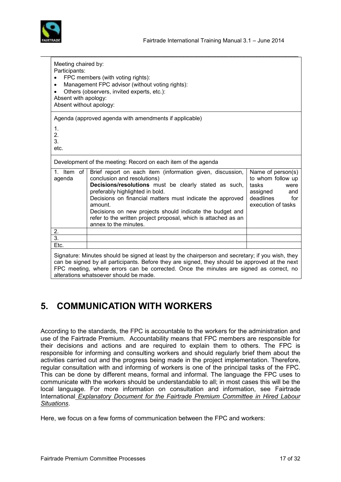

| Meeting chaired by:<br>Participants:<br>$\bullet$<br>$\bullet$<br>Absent with apology:<br>Absent without apology: | FPC members (with voting rights):<br>Management FPC advisor (without voting rights):<br>Others (observers, invited experts, etc.):                                                                                                                                                                                                                                                                                  |                                                                                                                      |
|-------------------------------------------------------------------------------------------------------------------|---------------------------------------------------------------------------------------------------------------------------------------------------------------------------------------------------------------------------------------------------------------------------------------------------------------------------------------------------------------------------------------------------------------------|----------------------------------------------------------------------------------------------------------------------|
| 1.<br>2.<br>3.<br>etc.                                                                                            | Agenda (approved agenda with amendments if applicable)                                                                                                                                                                                                                                                                                                                                                              |                                                                                                                      |
|                                                                                                                   | Development of the meeting: Record on each item of the agenda                                                                                                                                                                                                                                                                                                                                                       |                                                                                                                      |
| 1. Item of<br>agenda                                                                                              | Brief report on each item (information given, discussion,<br>conclusion and resolutions)<br>Decisions/resolutions must be clearly stated as such,<br>preferably highlighted in bold.<br>Decisions on financial matters must indicate the approved<br>amount.<br>Decisions on new projects should indicate the budget and<br>refer to the written project proposal, which is attached as an<br>annex to the minutes. | Name of person(s)<br>to whom follow up<br>tasks<br>were<br>assigned<br>and<br>deadlines<br>for<br>execution of tasks |
| 2.                                                                                                                |                                                                                                                                                                                                                                                                                                                                                                                                                     |                                                                                                                      |
|                                                                                                                   |                                                                                                                                                                                                                                                                                                                                                                                                                     |                                                                                                                      |
| $\overline{3}$ .<br>Etc.                                                                                          |                                                                                                                                                                                                                                                                                                                                                                                                                     |                                                                                                                      |

# <span id="page-16-0"></span>**5. COMMUNICATION WITH WORKERS**

According to the standards, the FPC is accountable to the workers for the administration and use of the Fairtrade Premium. Accountability means that FPC members are responsible for their decisions and actions and are required to explain them to others. The FPC is responsible for informing and consulting workers and should regularly brief them about the activities carried out and the progress being made in the project implementation. Therefore, regular consultation with and informing of workers is one of the principal tasks of the FPC. This can be done by different means, formal and informal. The language the FPC uses to communicate with the workers should be understandable to all; in most cases this will be the local language. For more information on consultation and information, see Fairtrade International *Explanatory Document for the Fairtrade Premium Committee in Hired Labour Situations*.

Here, we focus on a few forms of communication between the FPC and workers: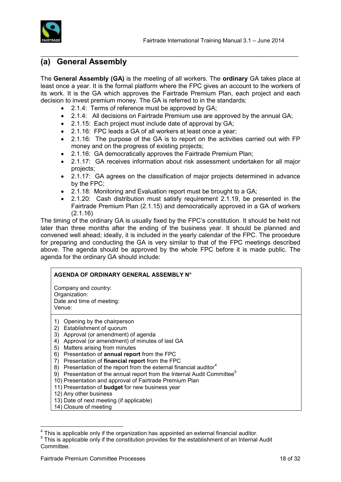

#### <span id="page-17-0"></span>**(a) General Assembly**

The **General Assembly (GA)** is the meeting of all workers. The **ordinary** GA takes place at least once a year. It is the formal platform where the FPC gives an account to the workers of its work. It is the GA which approves the Fairtrade Premium Plan, each project and each decision to invest premium money. The GA is referred to in the standards:

 $\mathcal{L}_\text{max}$  , and the contribution of the contribution of the contribution of the contribution of the contribution of the contribution of the contribution of the contribution of the contribution of the contribution of t

- 2.1.4: Terms of reference must be approved by GA;
- 2.1.4: All decisions on Fairtrade Premium use are approved by the annual GA;
- 2.1.15: Each project must include date of approval by GA;
- 2.1.16: FPC leads a GA of all workers at least once a year;
- 2.1.16: The purpose of the GA is to report on the activities carried out with FP money and on the progress of existing projects;
- 2.1.16: GA democratically approves the Fairtrade Premium Plan;
- 2.1.17: GA receives information about risk assessment undertaken for all major projects;
- 2.1.17: GA agrees on the classification of major projects determined in advance by the FPC;
- 2.1.18: Monitoring and Evaluation report must be brought to a GA;
- 2.1.20: Cash distribution must satisfy requirement 2.1.19, be presented in the Fairtrade Premium Plan (2.1.15) and democratically approved in a GA of workers (2.1.16)

The timing of the ordinary GA is usually fixed by the FPC's constitution. It should be held not later than three months after the ending of the business year. It should be planned and convened well ahead; ideally, it is included in the yearly calendar of the FPC. The procedure for preparing and conducting the GA is very similar to that of the FPC meetings described above. The agenda should be approved by the whole FPC before it is made public. The agenda for the ordinary GA should include:

#### **AGENDA OF ORDINARY GENERAL ASSEMBLY N°**

Company and country: Organization: Date and time of meeting: Venue:

- 1) Opening by the chairperson
- 2) Establishment of quorum
- 3) Approval (or amendment) of agenda
- 4) Approval (or amendment) of minutes of last GA
- 5) Matters arising from minutes
- 6) Presentation of **annual report** from the FPC
- 7) Presentation of **financial report** from the FPC
- 8) Presentation of the report from the external financial auditor<sup>4</sup>
- 9) Presentation of the annual report from the Internal Audit Committee<sup>5</sup>
- 10) Presentation and approval of Fairtrade Premium Plan
- 11) Presentation of **budget** for new business year
- 12) Any other business
- 13) Date of next meeting (if applicable)
- 14) Closure of meeting

<sup>&</sup>lt;sup>4</sup><br><sup>4</sup> This is applicable only if the organization has appointed an external financial auditor.<br><sup>5</sup> This is applicable only if the constitution provides for the establishment of an Internal

This is applicable only if the constitution provides for the establishment of an Internal Audit Committee.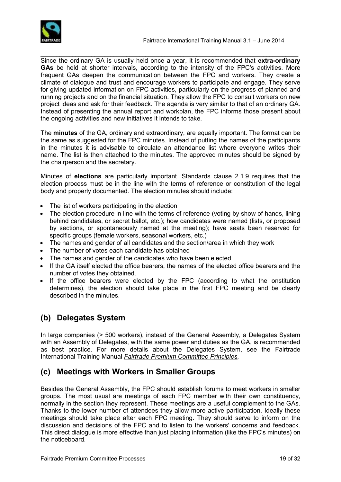

 $\mathcal{L}_\text{max}$  , and the contribution of the contribution of the contribution of the contribution of the contribution of the contribution of the contribution of the contribution of the contribution of the contribution of t Since the ordinary GA is usually held once a year, it is recommended that **extra-ordinary GAs** be held at shorter intervals, according to the intensity of the FPC's activities. More frequent GAs deepen the communication between the FPC and workers. They create a climate of dialogue and trust and encourage workers to participate and engage. They serve for giving updated information on FPC activities, particularly on the progress of planned and running projects and on the financial situation. They allow the FPC to consult workers on new project ideas and ask for their feedback. The agenda is very similar to that of an ordinary GA. Instead of presenting the annual report and workplan, the FPC informs those present about the ongoing activities and new initiatives it intends to take.

The **minutes** of the GA, ordinary and extraordinary, are equally important. The format can be the same as suggested for the FPC minutes. Instead of putting the names of the participants in the minutes it is advisable to circulate an attendance list where everyone writes their name. The list is then attached to the minutes. The approved minutes should be signed by the chairperson and the secretary.

Minutes of **elections** are particularly important. Standards clause 2.1.9 requires that the election process must be in the line with the terms of reference or constitution of the legal body and properly documented. The election minutes should include:

- The list of workers participating in the election
- The election procedure in line with the terms of reference (voting by show of hands, lining behind candidates, or secret ballot, etc.); how candidates were named (lists, or proposed by sections, or spontaneously named at the meeting); have seats been reserved for specific groups (female workers, seasonal workers, etc.)
- The names and gender of all candidates and the section/area in which they work
- The number of votes each candidate has obtained
- The names and gender of the candidates who have been elected
- If the GA itself elected the office bearers, the names of the elected office bearers and the number of votes they obtained.
- If the office bearers were elected by the FPC (according to what the onstitution determines), the election should take place in the first FPC meeting and be clearly described in the minutes.

## <span id="page-18-0"></span>**(b) Delegates System**

In large companies (> 500 workers), instead of the General Assembly, a Delegates System with an Assembly of Delegates, with the same power and duties as the GA, is recommended as best practice. For more details about the Delegates System, see the Fairtrade International Training Manual *Fairtrade Premium Committee Principles.*

### <span id="page-18-1"></span>**(c) Meetings with Workers in Smaller Groups**

Besides the General Assembly, the FPC should establish forums to meet workers in smaller groups. The most usual are meetings of each FPC member with their own constituency, normally in the section they represent. These meetings are a useful complement to the GAs. Thanks to the lower number of attendees they allow more active participation. Ideally these meetings should take place after each FPC meeting. They should serve to inform on the discussion and decisions of the FPC and to listen to the workers' concerns and feedback. This direct dialogue is more effective than just placing information (like the FPC's minutes) on the noticeboard.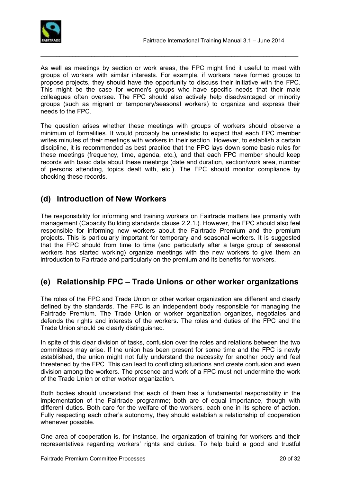

As well as meetings by section or work areas, the FPC might find it useful to meet with groups of workers with similar interests. For example, if workers have formed groups to propose projects, they should have the opportunity to discuss their initiative with the FPC. This might be the case for women's groups who have specific needs that their male colleagues often oversee. The FPC should also actively help disadvantaged or minority groups (such as migrant or temporary/seasonal workers) to organize and express their needs to the FPC.

 $\mathcal{L}_\text{max}$  , and the contribution of the contribution of the contribution of the contribution of the contribution of the contribution of the contribution of the contribution of the contribution of the contribution of t

The question arises whether these meetings with groups of workers should observe a minimum of formalities. It would probably be unrealistic to expect that each FPC member writes minutes of their meetings with workers in their section. However, to establish a certain discipline, it is recommended as best practice that the FPC lays down some basic rules for these meetings (frequency, time, agenda, etc.), and that each FPC member should keep records with basic data about these meetings (date and duration, section/work area, number of persons attending, topics dealt with, etc.). The FPC should monitor compliance by checking these records.

### <span id="page-19-0"></span>**(d) Introduction of New Workers**

The responsibility for informing and training workers on Fairtrade matters lies primarily with management (Capacity Building standards clause 2.2.1.). However, the FPC should also feel responsible for informing new workers about the Fairtrade Premium and the premium projects. This is particularly important for temporary and seasonal workers. It is suggested that the FPC should from time to time (and particularly after a large group of seasonal workers has started working) organize meetings with the new workers to give them an introduction to Fairtrade and particularly on the premium and its benefits for workers.

### <span id="page-19-1"></span>**(e) Relationship FPC – Trade Unions or other worker organizations**

The roles of the FPC and Trade Union or other worker organization are different and clearly defined by the standards. The FPC is an independent body responsible for managing the Fairtrade Premium. The Trade Union or worker organization organizes, negotiates and defends the rights and interests of the workers. The roles and duties of the FPC and the Trade Union should be clearly distinguished.

In spite of this clear division of tasks, confusion over the roles and relations between the two committees may arise. If the union has been present for some time and the FPC is newly established, the union might not fully understand the necessity for another body and feel threatened by the FPC. This can lead to conflicting situations and create confusion and even division among the workers. The presence and work of a FPC must not undermine the work of the Trade Union or other worker organization.

Both bodies should understand that each of them has a fundamental responsibility in the implementation of the Fairtrade programme; both are of equal importance, though with different duties. Both care for the welfare of the workers, each one in its sphere of action. Fully respecting each other's autonomy, they should establish a relationship of cooperation whenever possible.

One area of cooperation is, for instance, the organization of training for workers and their representatives regarding workers' rights and duties. To help build a good and trustful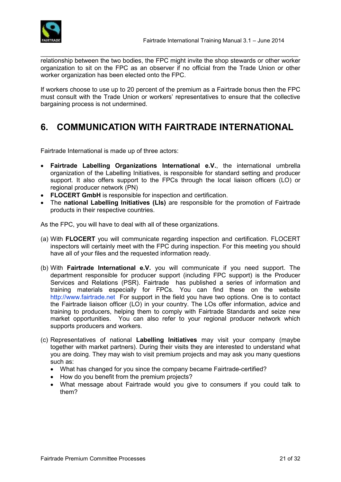

 $\mathcal{L}_\text{max}$  , and the contribution of the contribution of the contribution of the contribution of the contribution of the contribution of the contribution of the contribution of the contribution of the contribution of t relationship between the two bodies, the FPC might invite the shop stewards or other worker organization to sit on the FPC as an observer if no official from the Trade Union or other worker organization has been elected onto the FPC.

If workers choose to use up to 20 percent of the premium as a Fairtrade bonus then the FPC must consult with the Trade Union or workers' representatives to ensure that the collective bargaining process is not undermined.

# <span id="page-20-0"></span>**6. COMMUNICATION WITH FAIRTRADE INTERNATIONAL**

Fairtrade International is made up of three actors:

- **Fairtrade Labelling Organizations International e.V.**, the international umbrella organization of the Labelling Initiatives, is responsible for standard setting and producer support. It also offers support to the FPCs through the local liaison officers (LO) or regional producer network (PN)
- **FLOCERT GmbH** is responsible for inspection and certification.
- The **national Labelling Initiatives (LIs)** are responsible for the promotion of Fairtrade products in their respective countries.

As the FPC, you will have to deal with all of these organizations.

- (a) With **FLOCERT** you will communicate regarding inspection and certification. FLOCERT inspectors will certainly meet with the FPC during inspection. For this meeting you should have all of your files and the requested information ready.
- (b) With **Fairtrade International e.V.** you will communicate if you need support. The department responsible for producer support (including FPC support) is the Producer Services and Relations (PSR). Fairtrade has published a series of information and training materials especially for FPCs. You can find these on the website [http://www.fairtrade.net](http://www.fairtrade.net/) For support in the field you have two options. One is to contact the Fairtrade liaison officer (LO) in your country. The LOs offer information, advice and training to producers, helping them to comply with Fairtrade Standards and seize new market opportunities. You can also refer to your regional producer network which supports producers and workers.
- (c) Representatives of national **Labelling Initiatives** may visit your company (maybe together with market partners). During their visits they are interested to understand what you are doing. They may wish to visit premium projects and may ask you many questions such as:
	- What has changed for you since the company became Fairtrade-certified?
	- How do you benefit from the premium projects?
	- What message about Fairtrade would you give to consumers if you could talk to them?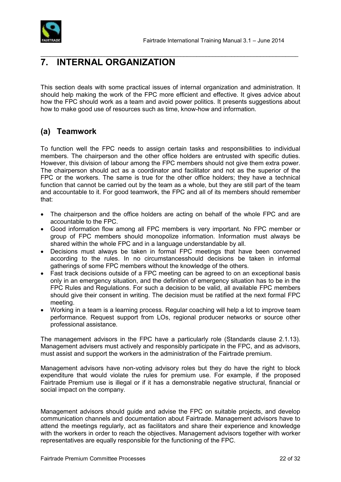

# <span id="page-21-0"></span>**7. INTERNAL ORGANIZATION**

This section deals with some practical issues of internal organization and administration. It should help making the work of the FPC more efficient and effective. It gives advice about how the FPC should work as a team and avoid power politics. It presents suggestions about how to make good use of resources such as time, know-how and information.

 $\mathcal{L}_\text{max}$  , and the contribution of the contribution of the contribution of the contribution of the contribution of the contribution of the contribution of the contribution of the contribution of the contribution of t

#### <span id="page-21-1"></span>**(a) Teamwork**

To function well the FPC needs to assign certain tasks and responsibilities to individual members. The chairperson and the other office holders are entrusted with specific duties. However, this division of labour among the FPC members should not give them extra power. The chairperson should act as a coordinator and facilitator and not as the superior of the FPC or the workers. The same is true for the other office holders; they have a technical function that cannot be carried out by the team as a whole, but they are still part of the team and accountable to it. For good teamwork, the FPC and all of its members should remember that:

- The chairperson and the office holders are acting on behalf of the whole FPC and are accountable to the FPC.
- Good information flow among all FPC members is very important. No FPC member or group of FPC members should monopolize information. Information must always be shared within the whole FPC and in a language understandable by all.
- Decisions must always be taken in formal FPC meetings that have been convened according to the rules. In no circumstancesshould decisions be taken in informal gatherings of some FPC members without the knowledge of the others.
- Fast track decisions outside of a FPC meeting can be agreed to on an exceptional basis only in an emergency situation, and the definition of emergency situation has to be in the FPC Rules and Regulations. For such a decision to be valid, all available FPC members should give their consent in writing. The decision must be ratified at the next formal FPC meeting.
- Working in a team is a learning process. Regular coaching will help a lot to improve team performance. Request support from LOs, regional producer networks or source other professional assistance.

The management advisors in the FPC have a particularly role (Standards clause 2.1.13). Management advisers must actively and responsibly participate in the FPC, and as advisors, must assist and support the workers in the administration of the Fairtrade premium.

Management advisors have non-voting advisory roles but they do have the right to block expenditure that would violate the rules for premium use. For example, if the proposed Fairtrade Premium use is illegal or if it has a demonstrable negative structural, financial or social impact on the company.

Management advisors should guide and advise the FPC on suitable projects, and develop communication channels and documentation about Fairtrade. Management advisors have to attend the meetings regularly, act as facilitators and share their experience and knowledge with the workers in order to reach the objectives. Management advisors together with worker representatives are equally responsible for the functioning of the FPC.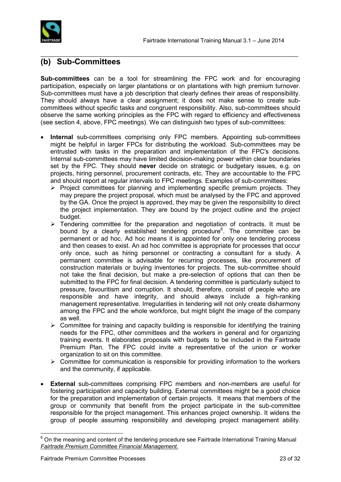



#### <span id="page-22-0"></span>**(b) Sub-Committees**

**Sub-committees** can be a tool for streamlining the FPC work and for encouraging participation, especially on larger plantations or on plantations with high premium turnover. Sub-committees must have a job description that clearly defines their areas of responsibility. They should always have a clear assignment; it does not make sense to create subcommittees without specific tasks and congruent responsibility. Also, sub-committees should observe the same working principles as the FPC with regard to efficiency and effectiveness (see section 4, above, FPC meetings). We can distinguish two types of sub-committees:

 $\mathcal{L}_\text{max}$  , and the contribution of the contribution of the contribution of the contribution of the contribution of the contribution of the contribution of the contribution of the contribution of the contribution of t

- **Internal** sub-committees comprising only FPC members. Appointing sub-committees might be helpful in larger FPCs for distributing the workload. Sub-committees may be entrusted with tasks in the preparation and implementation of the FPC's decisions. Internal sub-committees may have limited decision-making power within clear boundaries set by the FPC. They should **never** decide on strategic or budgetary issues, e.g. on projects, hiring personnel, procurement contracts, etc. They are accountable to the FPC and should report at regular intervals to FPC meetings. Examples of sub-committees:
	- $\triangleright$  Project committees for planning and implementing specific premium projects. They may prepare the project proposal, which must be analysed by the FPC and approved by the GA. Once the project is approved, they may be given the responsibility to direct the project implementation. They are bound by the project outline and the project budget.
	- $\triangleright$  Tendering committee for the preparation and negotiation of contracts. It must be bound by a clearly established tendering procedure<sup>6</sup>. The committee can be permanent or ad hoc. Ad hoc means it is appointed for only one tendering process and then ceases to exist. An ad hoc committee is appropriate for processes that occur only once, such as hiring personnel or contracting a consultant for a study. A permanent committee is advisable for recurring processes, like procurement of construction materials or buying inventories for projects. The sub-committee should not take the final decision, but make a pre-selection of options that can then be submitted to the FPC for final decision. A tendering committee is particularly subject to pressure, favouritism and corruption. It should, therefore, consist of people who are responsible and have integrity, and should always include a high-ranking management representative. Irregularities in tendering will not only create disharmony among the FPC and the whole workforce, but might blight the image of the company as well.
	- $\triangleright$  Committee for training and capacity building is responsible for identifying the training needs for the FPC, other committees and the workers in general and for organizing training events. It elaborates proposals with budgets to be included in the Fairtrade Premium Plan. The FPC could invite a representative of the union or worker organization to sit on this committee.
	- $\triangleright$  Committee for communication is responsible for providing information to the workers and the community, if applicable.
- **External** sub-committees comprising FPC members and non-members are useful for fostering participation and capacity building. External committees might be a good choice for the preparation and implementation of certain projects. It means that members of the group or community that benefit from the project participate in the sub-committee responsible for the project management. This enhances project ownership. It widens the group of people assuming responsibility and developing project management ability.

 $\overline{a}$  $6$  On the meaning and content of the tendering procedure see Fairtrade International Training Manual *Fairtrade Premium Committee Financial Management.*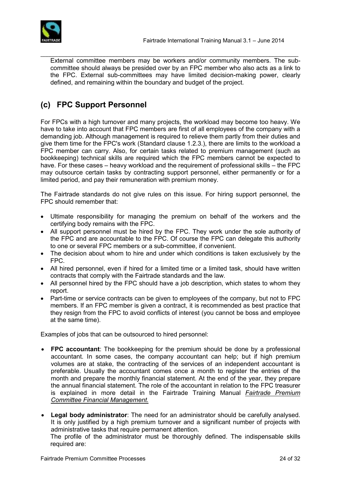

 $\mathcal{L}_\text{max}$  , and the set of the set of the set of the set of the set of the set of the set of the set of the set of the set of the set of the set of the set of the set of the set of the set of the set of the set of the External committee members may be workers and/or community members. The subcommittee should always be presided over by an FPC member who also acts as a link to the FPC. External sub-committees may have limited decision-making power, clearly defined, and remaining within the boundary and budget of the project.

## <span id="page-23-0"></span>**(c) FPC Support Personnel**

For FPCs with a high turnover and many projects, the workload may become too heavy. We have to take into account that FPC members are first of all employees of the company with a demanding job. Although management is required to relieve them partly from their duties and give them time for the FPC's work (Standard clause 1.2.3.), there are limits to the workload a FPC member can carry. Also, for certain tasks related to premium management (such as bookkeeping) technical skills are required which the FPC members cannot be expected to have. For these cases – heavy workload and the requirement of professional skills – the FPC may outsource certain tasks by contracting support personnel, either permanently or for a limited period, and pay their remuneration with premium money.

The Fairtrade standards do not give rules on this issue. For hiring support personnel, the FPC should remember that:

- Ultimate responsibility for managing the premium on behalf of the workers and the certifying body remains with the FPC.
- All support personnel must be hired by the FPC. They work under the sole authority of the FPC and are accountable to the FPC. Of course the FPC can delegate this authority to one or several FPC members or a sub-committee, if convenient.
- The decision about whom to hire and under which conditions is taken exclusively by the FPC.
- All hired personnel, even if hired for a limited time or a limited task, should have written contracts that comply with the Fairtrade standards and the law.
- All personnel hired by the FPC should have a job description, which states to whom they report.
- Part-time or service contracts can be given to employees of the company, but not to FPC members. If an FPC member is given a contract, it is recommended as best practice that they resign from the FPC to avoid conflicts of interest (you cannot be boss and employee at the same time).

Examples of jobs that can be outsourced to hired personnel:

- **FPC accountant**: The bookkeeping for the premium should be done by a professional accountant. In some cases, the company accountant can help; but if high premium volumes are at stake, the contracting of the services of an independent accountant is preferable. Usually the accountant comes once a month to register the entries of the month and prepare the monthly financial statement. At the end of the year, they prepare the annual financial statement. The role of the accountant in relation to the FPC treasurer is explained in more detail in the Fairtrade Training Manual *Fairtrade Premium Committee Financial Management.*
- **Legal body administrator**: The need for an administrator should be carefully analysed. It is only justified by a high premium turnover and a significant number of projects with administrative tasks that require permanent attention.

The profile of the administrator must be thoroughly defined. The indispensable skills required are: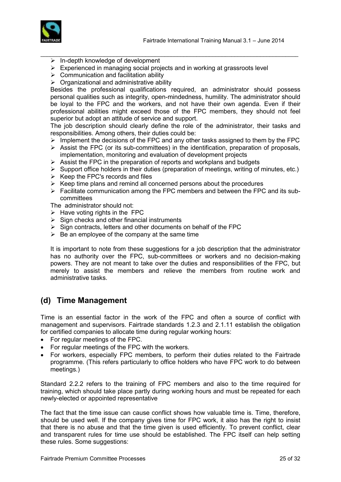

- $\triangleright$  In-depth knowledge of development
- $\triangleright$  Experienced in managing social projects and in working at grassroots level

 $\mathcal{L}_\text{max}$  , and the set of the set of the set of the set of the set of the set of the set of the set of the set of the set of the set of the set of the set of the set of the set of the set of the set of the set of the

- $\triangleright$  Communication and facilitation ability
- $\triangleright$  Organizational and administrative ability

Besides the professional qualifications required, an administrator should possess personal qualities such as integrity, open-mindedness, humility. The administrator should be loyal to the FPC and the workers, and not have their own agenda. Even if their professional abilities might exceed those of the FPC members, they should not feel superior but adopt an attitude of service and support.

The job description should clearly define the role of the administrator, their tasks and responsibilities. Among others, their duties could be:

- $\triangleright$  Implement the decisions of the FPC and any other tasks assigned to them by the FPC
- $\triangleright$  Assist the FPC (or its sub-committees) in the identification, preparation of proposals, implementation, monitoring and evaluation of development projects
- $\triangleright$  Assist the FPC in the preparation of reports and workplans and budgets
- $\triangleright$  Support office holders in their duties (preparation of meetings, writing of minutes, etc.)
- $\triangleright$  Keep the FPC's records and files
- $\triangleright$  Keep time plans and remind all concerned persons about the procedures
- $\triangleright$  Facilitate communication among the FPC members and between the FPC and its subcommittees

The administrator should not:

- $\triangleright$  Have voting rights in the FPC
- $\triangleright$  Sign checks and other financial instruments
- $\triangleright$  Sign contracts, letters and other documents on behalf of the FPC
- $\triangleright$  Be an employee of the company at the same time

It is important to note from these suggestions for a job description that the administrator has no authority over the FPC, sub-committees or workers and no decision-making powers. They are not meant to take over the duties and responsibilities of the FPC, but merely to assist the members and relieve the members from routine work and administrative tasks.

#### <span id="page-24-0"></span>**(d) Time Management**

Time is an essential factor in the work of the FPC and often a source of conflict with management and supervisors. Fairtrade standards 1.2.3 and 2.1.11 establish the obligation for certified companies to allocate time during regular working hours:

- For regular meetings of the FPC.
- For regular meetings of the FPC with the workers.
- For workers, especially FPC members, to perform their duties related to the Fairtrade programme. (This refers particularly to office holders who have FPC work to do between meetings.)

Standard 2.2.2 refers to the training of FPC members and also to the time required for training, which should take place partly during working hours and must be repeated for each newly-elected or appointed representative

The fact that the time issue can cause conflict shows how valuable time is. Time, therefore, should be used well. If the company gives time for FPC work, it also has the right to insist that there is no abuse and that the time given is used efficiently. To prevent conflict, clear and transparent rules for time use should be established. The FPC itself can help setting these rules. Some suggestions: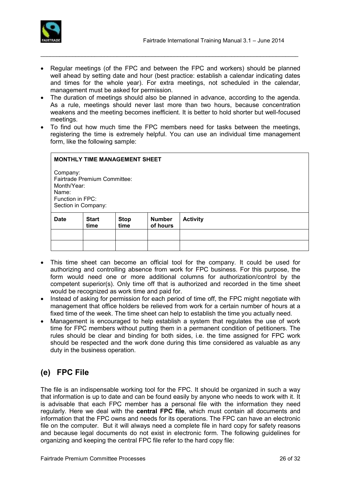

• Regular meetings (of the FPC and between the FPC and workers) should be planned well ahead by setting date and hour (best practice: establish a calendar indicating dates and times for the whole year). For extra meetings, not scheduled in the calendar, management must be asked for permission.

 $\mathcal{L}_\text{max}$  , and the set of the set of the set of the set of the set of the set of the set of the set of the set of the set of the set of the set of the set of the set of the set of the set of the set of the set of the

- The duration of meetings should also be planned in advance, according to the agenda. As a rule, meetings should never last more than two hours, because concentration weakens and the meeting becomes inefficient. It is better to hold shorter but well-focused meetings.
- To find out how much time the FPC members need for tasks between the meetings, registering the time is extremely helpful. You can use an individual time management form, like the following sample:

| <b>MONTHLY TIME MANAGEMENT SHEET</b><br>Company:<br><b>Fairtrade Premium Committee:</b><br>Month/Year:<br>Name:<br>Function in FPC:<br>Section in Company: |                      |                     |                           |                 |  |  |  |
|------------------------------------------------------------------------------------------------------------------------------------------------------------|----------------------|---------------------|---------------------------|-----------------|--|--|--|
| <b>Date</b>                                                                                                                                                | <b>Start</b><br>time | <b>Stop</b><br>time | <b>Number</b><br>of hours | <b>Activity</b> |  |  |  |
|                                                                                                                                                            |                      |                     |                           |                 |  |  |  |
|                                                                                                                                                            |                      |                     |                           |                 |  |  |  |

- This time sheet can become an official tool for the company. It could be used for authorizing and controlling absence from work for FPC business. For this purpose, the form would need one or more additional columns for authorization/control by the competent superior(s). Only time off that is authorized and recorded in the time sheet would be recognized as work time and paid for.
- Instead of asking for permission for each period of time off, the FPC might negotiate with management that office holders be relieved from work for a certain number of hours at a fixed time of the week. The time sheet can help to establish the time you actually need.
- Management is encouraged to help establish a system that regulates the use of work time for FPC members without putting them in a permanent condition of petitioners. The rules should be clear and binding for both sides, i.e. the time assigned for FPC work should be respected and the work done during this time considered as valuable as any duty in the business operation.

## <span id="page-25-0"></span>**(e) FPC File**

The file is an indispensable working tool for the FPC. It should be organized in such a way that information is up to date and can be found easily by anyone who needs to work with it. It is advisable that each FPC member has a personal file with the information they need regularly. Here we deal with the **central FPC file**, which must contain all documents and information that the FPC owns and needs for its operations. The FPC can have an electronic file on the computer. But it will always need a complete file in hard copy for safety reasons and because legal documents do not exist in electronic form. The following guidelines for organizing and keeping the central FPC file refer to the hard copy file: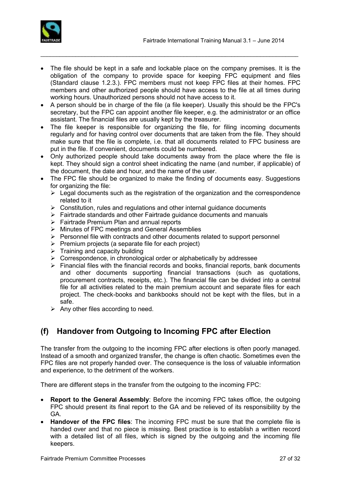



 The file should be kept in a safe and lockable place on the company premises. It is the obligation of the company to provide space for keeping FPC equipment and files (Standard clause 1.2.3.). FPC members must not keep FPC files at their homes. FPC members and other authorized people should have access to the file at all times during working hours. Unauthorized persons should not have access to it.

 $\mathcal{L}_\text{max}$  , and the set of the set of the set of the set of the set of the set of the set of the set of the set of the set of the set of the set of the set of the set of the set of the set of the set of the set of the

- A person should be in charge of the file (a file keeper). Usually this should be the FPC's secretary, but the FPC can appoint another file keeper, e.g. the administrator or an office assistant. The financial files are usually kept by the treasurer.
- The file keeper is responsible for organizing the file, for filing incoming documents regularly and for having control over documents that are taken from the file. They should make sure that the file is complete, i.e. that all documents related to FPC business are put in the file. If convenient, documents could be numbered.
- Only authorized people should take documents away from the place where the file is kept. They should sign a control sheet indicating the name (and number, if applicable) of the document, the date and hour, and the name of the user.
- The FPC file should be organized to make the finding of documents easy. Suggestions for organizing the file:
	- $\triangleright$  Legal documents such as the registration of the organization and the correspondence related to it
	- $\triangleright$  Constitution, rules and regulations and other internal guidance documents
	- $\triangleright$  Fairtrade standards and other Fairtrade guidance documents and manuals
	- ▶ Fairtrade Premium Plan and annual reports
	- $\triangleright$  Minutes of FPC meetings and General Assemblies
	- $\triangleright$  Personnel file with contracts and other documents related to support personnel
	- $\triangleright$  Premium projects (a separate file for each project)
	- $\triangleright$  Training and capacity building
	- $\triangleright$  Correspondence, in chronological order or alphabetically by addressee
	- $\triangleright$  Financial files with the financial records and books, financial reports, bank documents and other documents supporting financial transactions (such as quotations, procurement contracts, receipts, etc.). The financial file can be divided into a central file for all activities related to the main premium account and separate files for each project. The check-books and bankbooks should not be kept with the files, but in a safe.
	- $\triangleright$  Any other files according to need.

## <span id="page-26-0"></span>**(f) Handover from Outgoing to Incoming FPC after Election**

The transfer from the outgoing to the incoming FPC after elections is often poorly managed. Instead of a smooth and organized transfer, the change is often chaotic. Sometimes even the FPC files are not properly handed over. The consequence is the loss of valuable information and experience, to the detriment of the workers.

There are different steps in the transfer from the outgoing to the incoming FPC:

- **Report to the General Assembly**: Before the incoming FPC takes office, the outgoing FPC should present its final report to the GA and be relieved of its responsibility by the GA.
- **Handover of the FPC files**: The incoming FPC must be sure that the complete file is handed over and that no piece is missing. Best practice is to establish a written record with a detailed list of all files, which is signed by the outgoing and the incoming file keepers.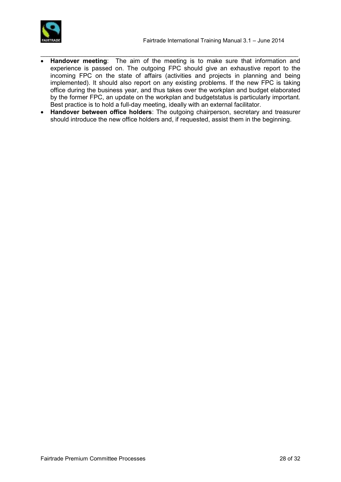

 **Handover meeting**: The aim of the meeting is to make sure that information and experience is passed on. The outgoing FPC should give an exhaustive report to the incoming FPC on the state of affairs (activities and projects in planning and being implemented). It should also report on any existing problems. If the new FPC is taking office during the business year, and thus takes over the workplan and budget elaborated by the former FPC, an update on the workplan and budgetstatus is particularly important. Best practice is to hold a full-day meeting, ideally with an external facilitator.

 $\mathcal{L}_\text{max}$  , and the set of the set of the set of the set of the set of the set of the set of the set of the set of the set of the set of the set of the set of the set of the set of the set of the set of the set of the

 **Handover between office holders**: The outgoing chairperson, secretary and treasurer should introduce the new office holders and, if requested, assist them in the beginning.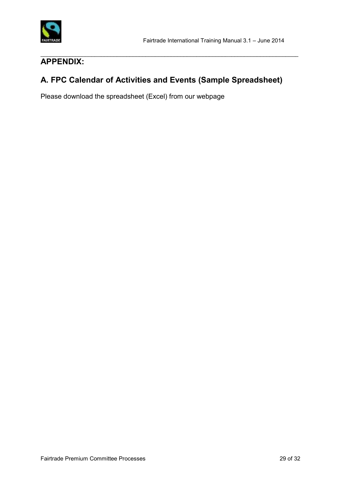

#### $\mathcal{L}_\text{max}$  , and the set of the set of the set of the set of the set of the set of the set of the set of the set of the set of the set of the set of the set of the set of the set of the set of the set of the set of the **APPENDIX:**

## **A. FPC Calendar of Activities and Events (Sample Spreadsheet)**

Please download the spreadsheet (Excel) from our webpage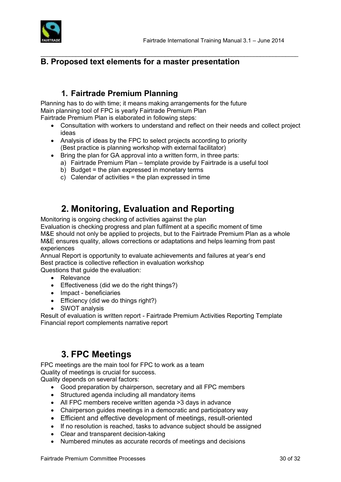

### **B. Proposed text elements for a master presentation**

### **1. Fairtrade Premium Planning**

Planning has to do with time; it means making arrangements for the future Main planning tool of FPC is yearly Fairtrade Premium Plan Fairtrade Premium Plan is elaborated in following steps:

 Consultation with workers to understand and reflect on their needs and collect project ideas

 $\mathcal{L}_\text{max}$  , and the set of the set of the set of the set of the set of the set of the set of the set of the set of the set of the set of the set of the set of the set of the set of the set of the set of the set of the

- Analysis of ideas by the FPC to select projects according to priority (Best practice is planning workshop with external facilitator)
- Bring the plan for GA approval into a written form, in three parts:
	- a) Fairtrade Premium Plan template provide by Fairtrade is a useful tool
	- b) Budget = the plan expressed in monetary terms
	- c) Calendar of activities = the plan expressed in time

# **2. Monitoring, Evaluation and Reporting**

Monitoring is ongoing checking of activities against the plan

Evaluation is checking progress and plan fulfilment at a specific moment of time M&E should not only be applied to projects, but to the Fairtrade Premium Plan as a whole M&E ensures quality, allows corrections or adaptations and helps learning from past experiences

Annual Report is opportunity to evaluate achievements and failures at year's end Best practice is collective reflection in evaluation workshop

Questions that quide the evaluation:

- Relevance
- Effectiveness (did we do the right things?)
- Impact beneficiaries
- Efficiency (did we do things right?)
- SWOT analysis

Result of evaluation is written report - Fairtrade Premium Activities Reporting Template Financial report complements narrative report

# **3. FPC Meetings**

FPC meetings are the main tool for FPC to work as a team Quality of meetings is crucial for success.

Quality depends on several factors:

- Good preparation by chairperson, secretary and all FPC members
- Structured agenda including all mandatory items
- All FPC members receive written agenda >3 days in advance
- Chairperson guides meetings in a democratic and participatory way
- Efficient and effective development of meetings, result-oriented
- If no resolution is reached, tasks to advance subject should be assigned
- Clear and transparent decision-taking
- Numbered minutes as accurate records of meetings and decisions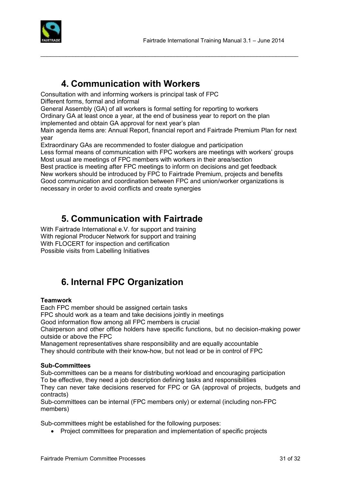

## **4. Communication with Workers**

Consultation with and informing workers is principal task of FPC Different forms, formal and informal

General Assembly (GA) of all workers is formal setting for reporting to workers

Ordinary GA at least once a year, at the end of business year to report on the plan

implemented and obtain GA approval for next year's plan

Main agenda items are: Annual Report, financial report and Fairtrade Premium Plan for next year

 $\mathcal{L}_\text{max}$  , and the set of the set of the set of the set of the set of the set of the set of the set of the set of the set of the set of the set of the set of the set of the set of the set of the set of the set of the

Extraordinary GAs are recommended to foster dialogue and participation

Less formal means of communication with FPC workers are meetings with workers' groups Most usual are meetings of FPC members with workers in their area/section

Best practice is meeting after FPC meetings to inform on decisions and get feedback New workers should be introduced by FPC to Fairtrade Premium, projects and benefits Good communication and coordination between FPC and union/worker organizations is necessary in order to avoid conflicts and create synergies

# **5. Communication with Fairtrade**

With Fairtrade International e.V. for support and training With regional Producer Network for support and training With FLOCERT for inspection and certification Possible visits from Labelling Initiatives

# **6. Internal FPC Organization**

#### **Teamwork**

Each FPC member should be assigned certain tasks FPC should work as a team and take decisions jointly in meetings Good information flow among all FPC members is crucial Chairperson and other office holders have specific functions, but no decision-making power outside or above the FPC

Management representatives share responsibility and are equally accountable

They should contribute with their know-how, but not lead or be in control of FPC

#### **Sub-Committees**

Sub-committees can be a means for distributing workload and encouraging participation To be effective, they need a job description defining tasks and responsibilities

They can never take decisions reserved for FPC or GA (approval of projects, budgets and contracts)

Sub-committees can be internal (FPC members only) or external (including non-FPC members)

Sub-committees might be established for the following purposes:

• Project committees for preparation and implementation of specific projects